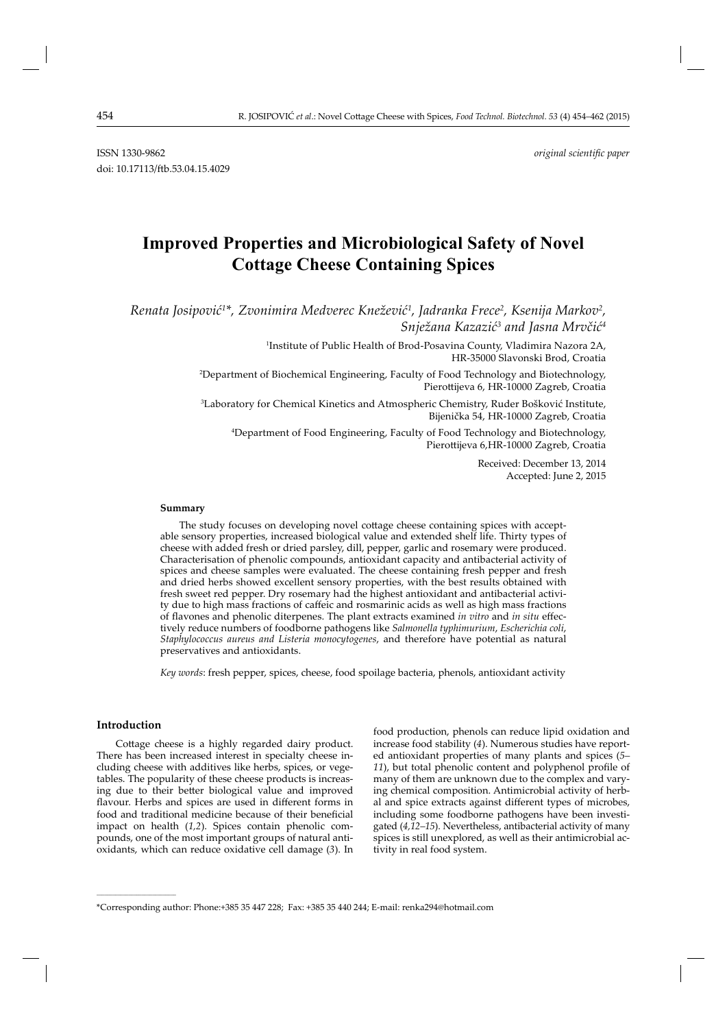# **Improved Properties and Microbiological Safety of Novel Cottage Cheese Containing Spices**

*Renata Josipović<sup>1</sup> \*, Zvonimira Medverec Knežević<sup>1</sup> , Jadranka Frece2 , Ksenij a Markov2 , Snježana Kazazić<sup>3</sup> and Jasna Mrvčić<sup>4</sup>*

> 1 Institute of Public Health of Brod-Posavina County, Vladimira Nazora 2A, HR-35000 Slavonski Brod, Croatia

2 Department of Biochemical Engineering, Faculty of Food Technology and Biotechnology, Pierottijeva 6, HR-10000 Zagreb, Croatia

3 Laboratory for Chemical Kinetics and Atmospheric Chemistry, Ruder Bošković Institute, Bijenička 54, HR-10000 Zagreb, Croatia

4 Department of Food Engineering, Faculty of Food Technology and Biotechnology, Pierottijeva 6,HR-10000 Zagreb, Croatia

> Received: December 13, 2014 Accepted: June 2, 2015

#### **Summary**

The study focuses on developing novel cottage cheese containing spices with acceptable sensory properties, increased biological value and extended shelf life. Thirty types of cheese with added fresh or dried parsley, dill, pepper, garlic and rosemary were produced. Characterisation of phenolic compounds, antioxidant capacity and antibacterial activity of spices and cheese samples were evaluated. The cheese containing fresh pepper and fresh and dried herbs showed excellent sensory properties, with the best results obtained with fresh sweet red pepper. Dry rosemary had the highest antioxidant and antibacterial activity due to high mass fractions of caffeic and rosmarinic acids as well as high mass fractions of flavones and phenolic diterpenes. The plant extracts examined *in vitro* and *in situ* effectively reduce numbers of foodborne pathogens like *Salmonella typhimurium*, *Escherichia coli*, *Staphylococcus aureus and Listeria monocytogenes*, and therefore have potential as natural preservatives and antioxidants.

*Key words*: fresh pepper, spices, cheese, food spoilage bacteria, phenols, antioxidant activity

# **Introduction**

**\_\_\_\_\_\_\_\_\_\_\_\_\_\_\_\_\_\_\_\_\_\_\_\_\_\_\_\_\_\_**

Cottage cheese is a highly regarded dairy product. There has been increased interest in specialty cheese including cheese with additives like herbs, spices, or vegetables. The popularity of these cheese products is increasing due to their better biological value and improved flavour. Herbs and spices are used in different forms in food and traditional medicine because of their beneficial impact on health (*1,2*). Spices contain phenolic compounds, one of the most important groups of natural antioxidants, which can reduce oxidative cell damage (*3*). In

food production, phenols can reduce lipid oxidation and increase food stability (*4*). Numerous studies have reported antioxidant properties of many plants and spices (*5–* 11), but total phenolic content and polyphenol profile of many of them are unknown due to the complex and varying chemical composition. Antimicrobial activity of herbal and spice extracts against different types of microbes, including some foodborne pathogens have been investigated (*4,12–15*). Nevertheless, antibacterial activity of many spices is still unexplored, as well as their antimicrobial activity in real food system.

<sup>\*</sup>Corresponding author: Phone:+385 35 447 228; Fax: +385 35 440 244; E-mail: renka294@hotmail.com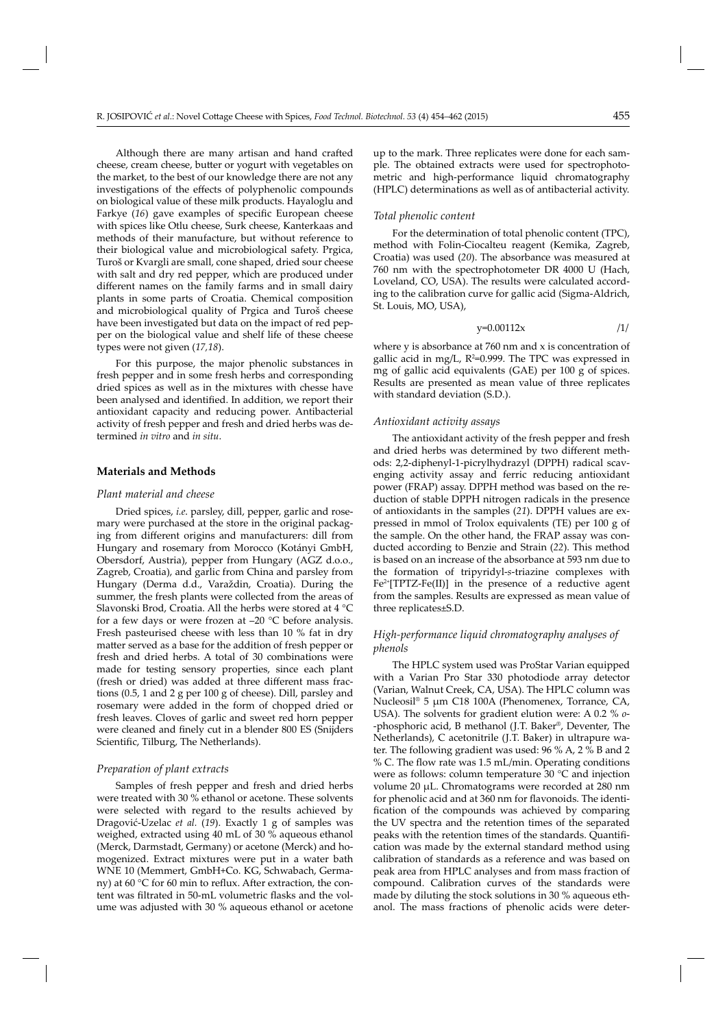Although there are many artisan and hand crafted cheese, cream cheese, butter or yogurt with vegetables on the market, to the best of our knowledge there are not any investigations of the effects of polyphenolic compounds on biological value of these milk products. Hayaloglu and Farkye (16) gave examples of specific European cheese with spices like Otlu cheese, Surk cheese, Kanterkaas and methods of their manufacture, but without reference to their biological value and microbiological safety. Prgica, Turoš or Kvargli are small, cone shaped, dried sour cheese with salt and dry red pepper, which are produced under different names on the family farms and in small dairy plants in some parts of Croatia. Chemical composition and microbiological quality of Prgica and Turoš cheese have been investigated but data on the impact of red pepper on the biological value and shelf life of these cheese types were not given (*17,18*).

For this purpose, the major phenolic substances in fresh pepper and in some fresh herbs and corresponding dried spices as well as in the mixtures with chesse have been analysed and identified. In addition, we report their antioxidant capacity and reducing power. Antibacterial activity of fresh pepper and fresh and dried herbs was determined *in vitro* and *in situ*.

# **Materials and Methods**

#### *Plant material and cheese*

Dried spices, *i.e*. parsley, dill, pepper, garlic and rosemary were purchased at the store in the original packaging from different origins and manufacturers: dill from Hungary and rosemary from Morocco (Kotányi GmbH, Obersdorf, Austria), pepper from Hungary (AGZ d.o.o., Zagreb, Croatia), and garlic from China and parsley from Hungary (Derma d.d., Varaždin, Croatia). During the summer, the fresh plants were collected from the areas of Slavonski Brod, Croatia. All the herbs were stored at 4 °C for a few days or were frozen at –20 °C before analysis. Fresh pasteurised cheese with less than 10 % fat in dry matter served as a base for the addition of fresh pepper or fresh and dried herbs. A total of 30 combinations were made for testing sensory properties, since each plant (fresh or dried) was added at three different mass fractions (0.5, 1 and 2 g per 100 g of cheese). Dill, parsley and rosemary were added in the form of chopped dried or fresh leaves. Cloves of garlic and sweet red horn pepper were cleaned and finely cut in a blender 800 ES (Snijders Scientific, Tilburg, The Netherlands).

## *Preparation of plant extracts*

Samples of fresh pepper and fresh and dried herbs were treated with 30 % ethanol or acetone. These solvents were selected with regard to the results achieved by Dragović-Uzelac *et al.* (*19*). Exactly 1 g of samples was weighed, extracted using 40 mL of 30 % aqueous ethanol (Merck, Darmstadt, Germany) or acetone (Merck) and homogenized. Extract mixtures were put in a water bath WNE 10 (Memmert, GmbH+Co. KG, Schwabach, Germany) at 60 °C for 60 min to reflux. After extraction, the content was filtrated in 50-mL volumetric flasks and the volume was adjusted with 30 % aqueous ethanol or acetone up to the mark. Three replicates were done for each sample. The obtained extracts were used for spectrophotometric and high-performance liquid chromatography (HPLC) determinations as well as of antibacterial activity.

#### *Total phenolic content*

For the determination of total phenolic content (TPC), method with Folin-Ciocalteu reagent (Kemika, Zagreb, Croatia) was used (*20*). The absorbance was measured at 760 nm with the spectrophotometer DR 4000 U (Hach, Loveland, CO, USA). The results were calculated according to the calibration curve for gallic acid (Sigma-Aldrich, St. Louis, MO, USA),

$$
y=0.00112x
$$
 /1/

where  $y$  is absorbance at  $760$  nm and  $x$  is concentration of gallic acid in mg/L,  $R^2$ =0.999. The TPC was expressed in mg of gallic acid equivalents (GAE) per 100 g of spices. Results are presented as mean value of three replicates with standard deviation (S.D.).

## *Antioxidant activity assays*

The antioxidant activity of the fresh pepper and fresh and dried herbs was determined by two different methods: 2,2-diphenyl-1-picrylhydrazyl (DPPH) radical scavenging activity assay and ferric reducing antioxidant power (FRAP) assay. DPPH method was based on the reduction of stable DPPH nitrogen radicals in the presence of antioxidants in the samples (*21*). DPPH values are expressed in mmol of Trolox equivalents (TE) per 100 g of the sample. On the other hand, the FRAP assay was conducted according to Benzie and Strain (*22*). This method is based on an increase of the absorbance at 593 nm due to the formation of tripyridyl-*s*-triazine complexes with  $Fe^{2+}[TPTZ-Fe(II)]$  in the presence of a reductive agent from the samples. Results are expressed as mean value of three replicates±S.D.

# *High-performance liquid chromatography analyses of phenols*

The HPLC system used was ProStar Varian equipped with a Varian Pro Star 330 photodiode array detector (Varian, Walnut Creek, CA, USA). The HPLC column was Nucleosil® 5 μm C18 100A (Phenomenex, Torrance, CA, USA). The solvents for gradient elution were: A 0.2 % *o*- -phosphoric acid, B methanol (J.T. Baker®, Deventer, The Netherlands), C acetonitrile (J.T. Baker) in ultrapure water. The following gradient was used: 96 % A, 2 % B and 2 % C. The flow rate was 1.5 mL/min. Operating conditions were as follows: column temperature 30 °C and injection volume 20 μL. Chromatograms were recorded at 280 nm for phenolic acid and at 360 nm for flavonoids. The identification of the compounds was achieved by comparing the UV spectra and the retention times of the separated peaks with the retention times of the standards. Quantifi cation was made by the external standard method using calibration of standards as a reference and was based on peak area from HPLC analyses and from mass fraction of compound. Calibration curves of the standards were made by diluting the stock solutions in 30 % aqueous ethanol. The mass fractions of phenolic acids were deter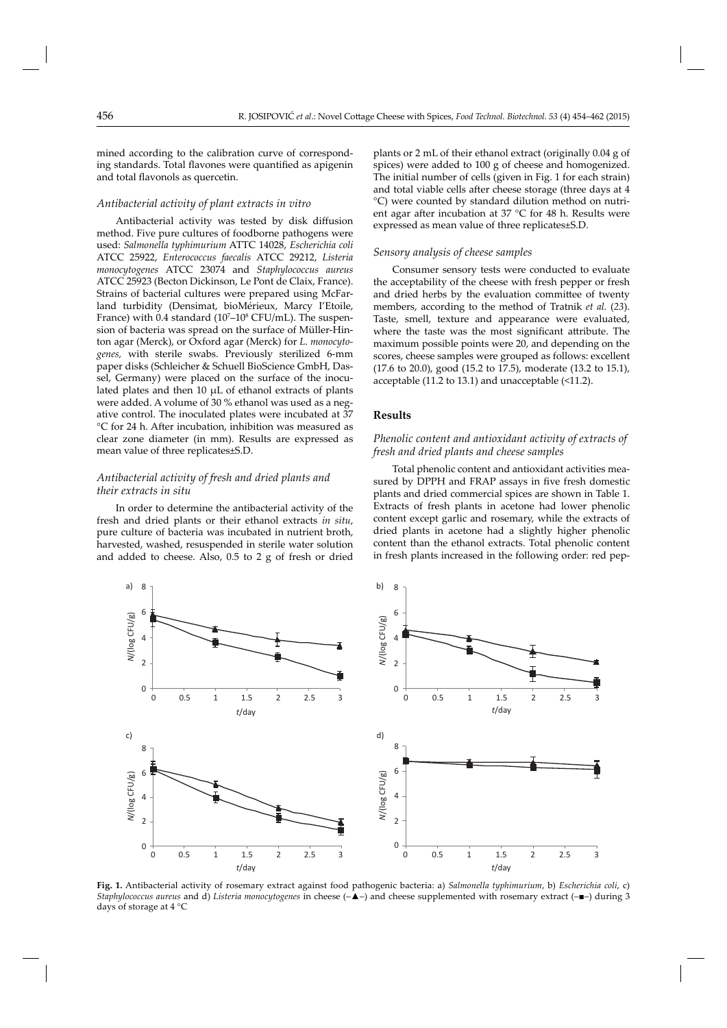mined according to the calibration curve of corresponding standards. Total flavones were quantified as apigenin and total flavonols as quercetin.

#### *Antibacterial activity of plant extracts in vitro*

Antibacterial activity was tested by disk diffusion method. Five pure cultures of foodborne pathogens were used: *Salmonella typhimurium* ATTC 14028, *Escherichia coli* ATCC 25922, *Enterococcus faecalis* ATCC 29212, *Listeria monocytogenes* ATCC 23074 and *Staphylococcus aureus* ATCC 25923 (Becton Dickinson, Le Pont de Claix, France). Strains of bacterial cultures were prepared using McFarland turbidity (Densimat, bioMérieux, Marcy I'Etoile, France) with 0.4 standard (10<sup>7</sup>–10<sup>8</sup> CFU/mL). The suspension of bacteria was spread on the surface of Müller-Hinton agar (Merck), or Oxford agar (Merck) for *L*. *monocytogenes,* with sterile swabs. Previously sterilized 6-mm paper disks (Schleicher & Schuell BioScience GmbH, Dassel, Germany) were placed on the surface of the inoculated plates and then 10 μL of ethanol extracts of plants were added. A volume of 30 % ethanol was used as a negative control. The inoculated plates were incubated at 37 °C for 24 h. After incubation, inhibition was measured as clear zone diameter (in mm). Results are expressed as mean value of three replicates±S.D.

# *Antibacterial activity of fresh and dried plants and their extracts in situ*

In order to determine the antibacterial activity of the fresh and dried plants or their ethanol extracts *in situ*, pure culture of bacteria was incubated in nutrient broth, harvested, washed, resuspended in sterile water solution and added to cheese. Also, 0.5 to 2 g of fresh or dried

plants or 2 mL of their ethanol extract (originally 0.04 g of spices) were added to 100 g of cheese and homogenized. The initial number of cells (given in Fig. 1 for each strain) and total viable cells after cheese storage (three days at 4 °C) were counted by standard dilution method on nutrient agar after incubation at 37  $^{\circ}$ C for 48 h. Results were expressed as mean value of three replicates±S.D.

## *Sensory analysis of cheese samples*

Consumer sensory tests were conducted to evaluate the acceptability of the cheese with fresh pepper or fresh and dried herbs by the evaluation committee of twenty members, according to the method of Tratnik *et al.* (*23*). Taste, smell, texture and appearance were evaluated, where the taste was the most significant attribute. The maximum possible points were 20, and depending on the scores, cheese samples were grouped as follows: excellent (17.6 to 20.0), good (15.2 to 17.5), moderate (13.2 to 15.1), acceptable (11.2 to 13.1) and unacceptable (<11.2).

## **Results**

# *Phenolic content and antioxidant activity of extracts of fresh and dried plants and cheese samples*

Total phenolic content and antioxidant activities measured by DPPH and FRAP assays in five fresh domestic plants and dried commercial spices are shown in Table 1. Extracts of fresh plants in acetone had lower phenolic content except garlic and rosemary, while the extracts of dried plants in acetone had a slightly higher phenolic content than the ethanol extracts. Total phenolic content in fresh plants increased in the following order: red pep-



**Fig. 1.** Antibacterial activity of rosemary extract against food pathogenic bacteria: a) *Salmonella typhimurium*, b) *Escherichia coli*, c) *Staphylococcus aureus* and d) *Listeria monocytogenes* in cheese (–▲–) and cheese supplemented with rosemary extract (–■–) during 3 days of storage at 4 °C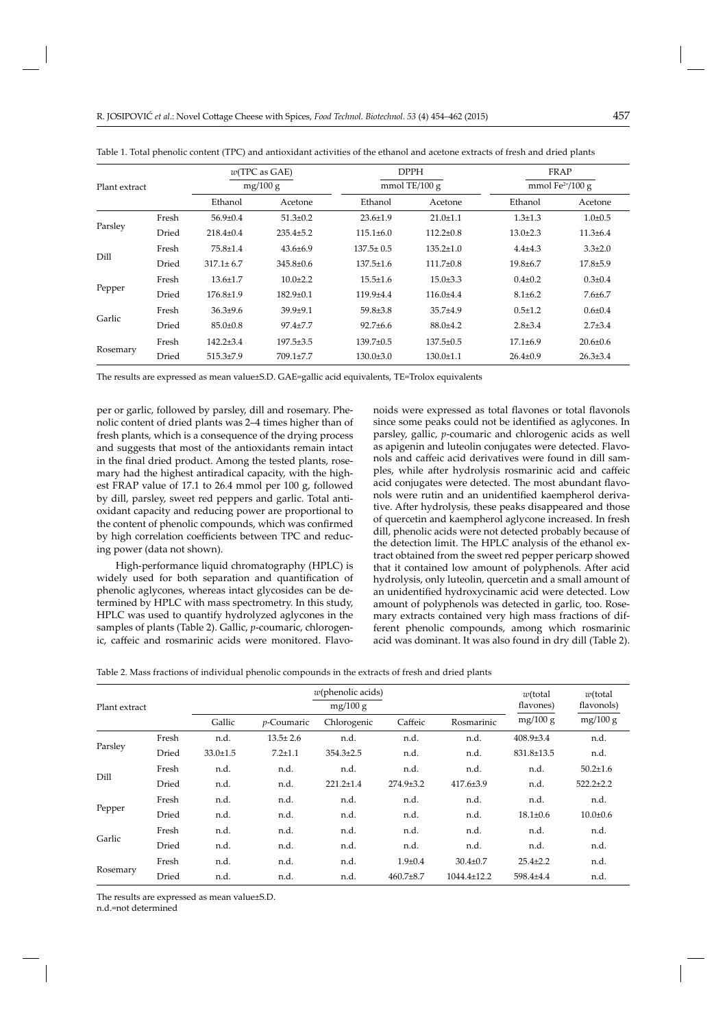|               |       | w(TPC as GAE)<br>mg/100 g |                 |                 | <b>DPPH</b><br>mmol TE/100 g |                | FRAP<br>mmol Fe <sup>2+</sup> /100 g |  |
|---------------|-------|---------------------------|-----------------|-----------------|------------------------------|----------------|--------------------------------------|--|
| Plant extract |       |                           |                 |                 |                              |                |                                      |  |
|               |       | Ethanol                   | Acetone         | Ethanol         | Acetone                      | Ethanol        | Acetone                              |  |
| Parsley       | Fresh | $56.9 \pm 0.4$            | $51.3 \pm 0.2$  | $23.6 \pm 1.9$  | $21.0 \pm 1.1$               | $1.3 \pm 1.3$  | $1.0 \pm 0.5$                        |  |
|               | Dried | $218.4 \pm 0.4$           | $235.4 \pm 5.2$ | $115.1\pm 6.0$  | $112.2 \pm 0.8$              | $13.0 \pm 2.3$ | $11.3 \pm 6.4$                       |  |
| Dill          | Fresh | $75.8 \pm 1.4$            | $43.6 \pm 6.9$  | $137.5 \pm 0.5$ | $135.2 \pm 1.0$              | $4.4 \pm 4.3$  | $3.3 \pm 2.0$                        |  |
|               | Dried | $317.1 \pm 6.7$           | $345.8 \pm 0.6$ | $137.5 \pm 1.6$ | $111.7 \pm 0.8$              | $19.8 \pm 6.7$ | $17.8 \pm 5.9$                       |  |
| Pepper        | Fresh | $13.6 \pm 1.7$            | $10.0 \pm 2.2$  | $15.5 \pm 1.6$  | $15.0\pm3.3$                 | $0.4 \pm 0.2$  | $0.3 \pm 0.4$                        |  |
|               | Dried | $176.8 \pm 1.9$           | $182.9 \pm 0.1$ | 119.9±4.4       | $116.0 \pm 4.4$              | $8.1 \pm 6.2$  | $7.6 \pm 6.7$                        |  |
| Garlic        | Fresh | $36.3+9.6$                | $39.9 + 9.1$    | $59.8 \pm 3.8$  | $35.7 + 4.9$                 | $0.5 \pm 1.2$  | $0.6 \pm 0.4$                        |  |
|               | Dried | $85.0 \pm 0.8$            | $97.4 \pm 7.7$  | $92.7\pm 6.6$   | $88.0 \pm 4.2$               | $2.8 \pm 3.4$  | $2.7\pm3.4$                          |  |
| Rosemary      | Fresh | $142.2 \pm 3.4$           | $197.5 \pm 3.5$ | $139.7 \pm 0.5$ | $137.5 \pm 0.5$              | $17.1 \pm 6.9$ | $20.6 \pm 0.6$                       |  |
|               | Dried | $515.3 \pm 7.9$           | $709.1 \pm 7.7$ | $130.0 \pm 3.0$ | $130.0 \pm 1.1$              | $26.4 \pm 0.9$ | $26.3 \pm 3.4$                       |  |

Table 1. Total phenolic content (TPC) and antioxidant activities of the ethanol and acetone extracts of fresh and dried plants

The results are expressed as mean value±S.D. GAE=gallic acid equivalents, TE=Trolox equivalents

per or garlic, followed by parsley, dill and rosemary. Phenolic content of dried plants was 2–4 times higher than of fresh plants, which is a consequence of the drying process and suggests that most of the antioxidants remain intact in the final dried product. Among the tested plants, rosemary had the highest antiradical capacity, with the highest FRAP value of 17.1 to 26.4 mmol per 100 g, followed by dill, parsley, sweet red peppers and garlic. Total antioxidant capacity and reducing power are proportional to the content of phenolic compounds, which was confirmed by high correlation coefficients between TPC and reducing power (data not shown).

High-performance liquid chromatography (HPLC) is widely used for both separation and quantification of phenolic aglycones, whereas intact glycosides can be determined by HPLC with mass spectrometry. In this study, HPLC was used to quantify hydrolyzed aglycones in the samples of plants (Table 2). Gallic, *p*-coumaric, chlorogenic, caffeic and rosmarinic acids were monitored. Flavonoids were expressed as total flavones or total flavonols since some peaks could not be identified as aglycones. In parsley, gallic, *p*-coumaric and chlorogenic acids as well as apigenin and luteolin conjugates were detected. Flavonols and caffeic acid derivatives were found in dill samples, while after hydrolysis rosmarinic acid and caffeic acid conjugates were detected. The most abundant flavonols were rutin and an unidentified kaempherol derivative. After hydrolysis, these peaks disappeared and those of quercetin and kaempherol aglycone increased. In fresh dill, phenolic acids were not detected probably because of the detection limit. The HPLC analysis of the ethanol extract obtained from the sweet red pepper pericarp showed that it contained low amount of polyphenols. After acid hydrolysis, only luteolin, quercetin and a small amount of an unidentified hydroxycinamic acid were detected. Low amount of polyphenols was detected in garlic, too. Rosemary extracts contained very high mass fractions of different phenolic compounds, among which rosmarinic acid was dominant. It was also found in dry dill (Table 2).

| Table 2. Mass fractions of individual phenolic compounds in the extracts of fresh and dried plants |  |  |  |  |
|----------------------------------------------------------------------------------------------------|--|--|--|--|
|----------------------------------------------------------------------------------------------------|--|--|--|--|

|               |       |                         |                | $w$ (phenolic acids) |                 |                   | $w$ (total       | $w$ (total      |
|---------------|-------|-------------------------|----------------|----------------------|-----------------|-------------------|------------------|-----------------|
| Plant extract |       | mg/100 g                |                |                      |                 |                   |                  | flavonols)      |
|               |       | Gallic<br>$p$ -Coumaric |                | Chlorogenic          | Caffeic         | Rosmarinic        | mg/100 g         | mg/100 g        |
|               | Fresh | n.d.                    | $13.5 \pm 2.6$ | n.d.                 | n.d.            | n.d.              | $408.9{\pm}3.4$  | n.d.            |
| Parsley       | Dried | $33.0 \pm 1.5$          | $7.2 + 1.1$    | $354.3 \pm 2.5$      | n.d.            | n.d.              | $831.8 \pm 13.5$ | n.d.            |
| Dill          | Fresh | n.d.                    | n.d.           | n.d.                 | n.d.            | n.d.              | n.d.             | $50.2 \pm 1.6$  |
|               | Dried | n.d.                    | n.d.           | $221.2 \pm 1.4$      | $274.9 \pm 3.2$ | $417.6 \pm 3.9$   | n.d.             | $522.2 \pm 2.2$ |
| Pepper        | Fresh | n.d.                    | n.d.           | n.d.                 | n.d.            | n.d.              | n.d.             | n.d.            |
|               | Dried | n.d.                    | n.d.           | n.d.                 | n.d.            | n.d.              | $18.1 \pm 0.6$   | $10.0 \pm 0.6$  |
| Garlic        | Fresh | n.d.                    | n.d.           | n.d.                 | n.d.            | n.d.              | n.d.             | n.d.            |
|               | Dried | n.d.                    | n.d.           | n.d.                 | n.d.            | n.d.              | n.d.             | n.d.            |
| Rosemary      | Fresh | n.d.                    | n.d.           | n.d.                 | $1.9 \pm 0.4$   | $30.4 \pm 0.7$    | $25.4 \pm 2.2$   | n.d.            |
|               | Dried | n.d.                    | n.d.           | n.d.                 | $460.7 \pm 8.7$ | $1044.4 \pm 12.2$ | $598.4 \pm 4.4$  | n.d.            |

The results are expressed as mean value±S.D. n.d.=not determined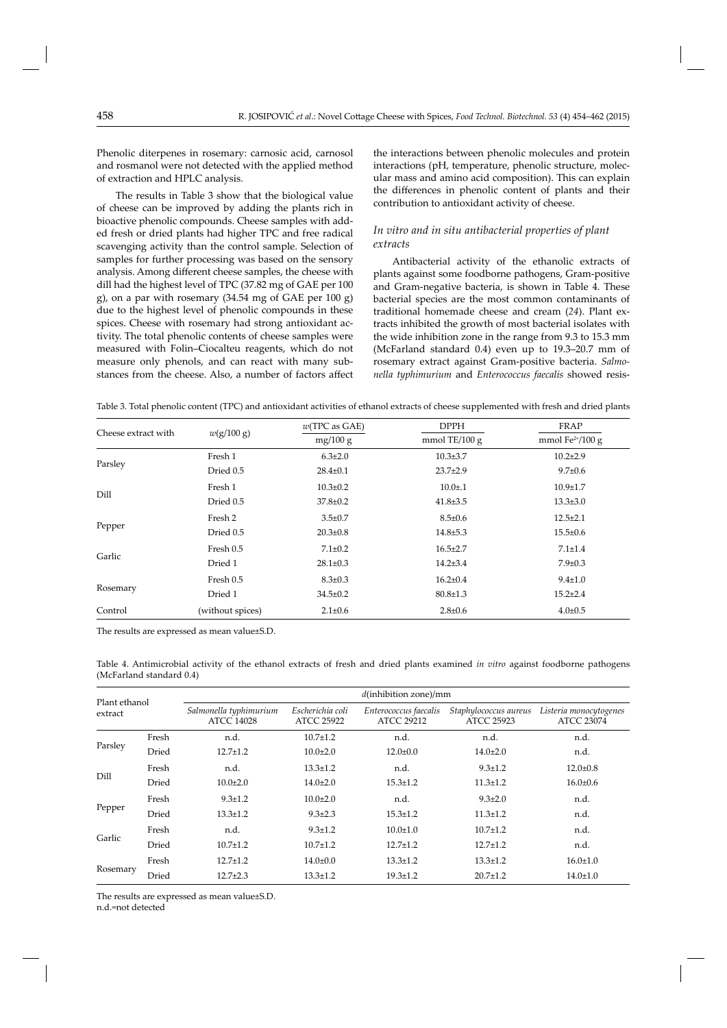Phenolic diterpenes in rosemary: carnosic acid, carnosol and rosmanol were not detected with the applied method of extraction and HPLC analysis.

The results in Table 3 show that the biological value of cheese can be improved by adding the plants rich in bioactive phenolic compounds. Cheese samples with added fresh or dried plants had higher TPC and free radical scavenging activity than the control sample. Selection of samples for further processing was based on the sensory analysis. Among different cheese samples, the cheese with dill had the highest level of TPC (37.82 mg of GAE per 100 g), on a par with rosemary (34.54 mg of GAE per 100 g) due to the highest level of phenolic compounds in these spices. Cheese with rosemary had strong antioxidant activity. The total phenolic contents of cheese samples were measured with Folin–Ciocalteu reagents, which do not measure only phenols, and can react with many substances from the cheese. Also, a number of factors affect the interactions between phenolic molecules and protein interactions (pH, temperature, phenolic structure, molecular mass and amino acid composition). This can explain the differences in phenolic content of plants and their contribution to antioxidant activity of cheese.

# *In vitro and in situ antibacterial properties of plant extracts*

Antibacterial activity of the ethanolic extracts of plants against some foodborne pathogens, Gram-positive and Gram-negative bacteria, is shown in Table 4. These bacterial species are the most common contaminants of traditional homemade cheese and cream (*24*). Plant extracts inhibited the growth of most bacterial isolates with the wide inhibition zone in the range from 9.3 to 15.3 mm (McFarland standard 0.4) even up to 19.3–20.7 mm of rosemary extract against Gram-positive bacteria. *Salmonella typhimurium* and *Enterococcus faecalis* showed resis-

|  | Table 3. Total phenolic content (TPC) and antioxidant activities of ethanol extracts of cheese supplemented with fresh and dried plants |  |
|--|-----------------------------------------------------------------------------------------------------------------------------------------|--|
|  |                                                                                                                                         |  |

| Cheese extract with |                  | w(TPC as GAE)  | <b>DPPH</b>    | FRAP                         |
|---------------------|------------------|----------------|----------------|------------------------------|
|                     | w(g/100 g)       | mg/100 g       | mmol TE/100 g  | mmol Fe <sup>2+</sup> /100 g |
|                     | Fresh 1          | $6.3{\pm}2.0$  | $10.3 \pm 3.7$ | $10.2{\pm}2.9$               |
| Parsley             | Dried 0.5        | $28.4 \pm 0.1$ | $23.7+2.9$     | $9.7 \pm 0.6$                |
|                     | Fresh 1          | $10.3 \pm 0.2$ | $10.0 + .1$    | $10.9 \pm 1.7$               |
| Dill                | Dried 0.5        | $37.8 \pm 0.2$ | $41.8 \pm 3.5$ | $13.3 \pm 3.0$               |
|                     | Fresh 2          | $3.5 \pm 0.7$  | $8.5 \pm 0.6$  | $12.5 \pm 2.1$               |
| Pepper              | Dried 0.5        | $20.3 \pm 0.8$ | $14.8 \pm 5.3$ | $15.5 \pm 0.6$               |
|                     | Fresh 0.5        | $7.1 \pm 0.2$  | $16.5 \pm 2.7$ | $7.1 \pm 1.4$                |
| Garlic              | Dried 1          | $28.1 \pm 0.3$ | $14.2 \pm 3.4$ | $7.9 \pm 0.3$                |
|                     | Fresh 0.5        | $8.3 \pm 0.3$  | $16.2 \pm 0.4$ | $9.4 \pm 1.0$                |
| Rosemary            | Dried 1          | $34.5 \pm 0.2$ | $80.8 \pm 1.3$ | $15.2 \pm 2.4$               |
| Control             | (without spices) | $2.1 \pm 0.6$  | $2.8 \pm 0.6$  | $4.0 \pm 0.5$                |

The results are expressed as mean value±S.D.

Table 4. Antimicrobial activity of the ethanol extracts of fresh and dried plants examined *in vitro* against foodborne pathogens (McFarland standard 0.4)

| Plant ethanol<br>extract |              | $d$ (inhibition zone)/mm                    |                                       |                                            |                                            |                                             |  |  |
|--------------------------|--------------|---------------------------------------------|---------------------------------------|--------------------------------------------|--------------------------------------------|---------------------------------------------|--|--|
|                          |              | Salmonella typhimurium<br><b>ATCC 14028</b> | Escherichia coli<br><b>ATCC 25922</b> | Enterococcus faecalis<br><b>ATCC 29212</b> | Staphylococcus aureus<br><b>ATCC 25923</b> | Listeria monocytogenes<br><b>ATCC 23074</b> |  |  |
|                          | Fresh        | n.d.                                        | $10.7 \pm 1.2$                        | n.d.                                       | n.d.                                       | n.d.                                        |  |  |
| Parsley                  | <b>Dried</b> | $12.7 \pm 1.2$                              | $10.0 \pm 2.0$                        | $12.0 \pm 0.0$                             | $14.0{\pm}2.0$                             | n.d.                                        |  |  |
| Dill                     | Fresh        | n.d.                                        | $13.3 \pm 1.2$                        | n.d.                                       | $9.3 \pm 1.2$                              | $12.0 \pm 0.8$                              |  |  |
|                          | Dried        | $10.0{\pm}2.0$                              | $14.0 \pm 2.0$                        | $15.3 \pm 1.2$                             | $11.3 \pm 1.2$                             | $16.0 \pm 0.6$                              |  |  |
| Pepper                   | Fresh        | $9.3 \pm 1.2$                               | $10.0 \pm 2.0$                        | n.d.                                       | $9.3 \pm 2.0$                              | n.d.                                        |  |  |
|                          | Dried        | $13.3 \pm 1.2$                              | $9.3 \pm 2.3$                         | $15.3 \pm 1.2$                             | $11.3 \pm 1.2$                             | n.d.                                        |  |  |
| Garlic                   | Fresh        | n.d.                                        | $9.3 \pm 1.2$                         | $10.0 \pm 1.0$                             | $10.7 \pm 1.2$                             | n.d.                                        |  |  |
|                          | Dried        | $10.7 + 1.2$                                | $10.7 + 1.2$                          | $12.7 + 1.2$                               | $12.7 \pm 1.2$                             | n.d.                                        |  |  |
| Rosemary                 | Fresh        | $12.7 \pm 1.2$                              | $14.0 \pm 0.0$                        | $13.3 \pm 1.2$                             | $13.3 \pm 1.2$                             | $16.0 \pm 1.0$                              |  |  |
|                          | Dried        | $12.7+2.3$                                  | $13.3 \pm 1.2$                        | $19.3 \pm 1.2$                             | $20.7 \pm 1.2$                             | $14.0 \pm 1.0$                              |  |  |

The results are expressed as mean value±S.D.

n.d.=not detected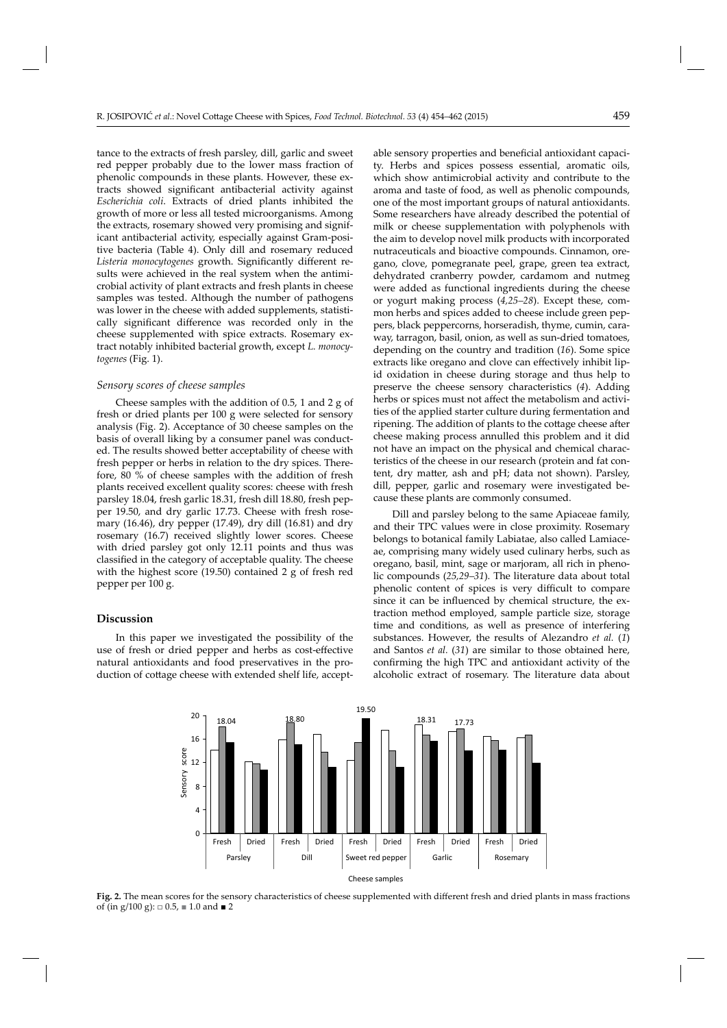tance to the extracts of fresh parsley, dill, garlic and sweet red pepper probably due to the lower mass fraction of phenolic compounds in these plants. However, these extracts showed significant antibacterial activity against *Escherichia coli*. Extracts of dried plants inhibited the growth of more or less all tested microorganisms. Among the extracts, rosemary showed very promising and significant antibacterial activity, especially against Gram-positive bacteria (Table 4). Only dill and rosemary reduced Listeria monocytogenes growth. Significantly different results were achieved in the real system when the antimicrobial activity of plant extracts and fresh plants in cheese samples was tested. Although the number of pathogens was lower in the cheese with added supplements, statistically significant difference was recorded only in the cheese supplemented with spice extracts. Rosemary extract notably inhibited bacterial growth, except *L. monocytogenes* (Fig. 1).

#### *Sensory scores of cheese samples*

Cheese samples with the addition of 0.5, 1 and 2 g of fresh or dried plants per 100 g were selected for sensory analysis (Fig. 2). Acceptance of 30 cheese samples on the basis of overall liking by a consumer panel was conducted. The results showed better acceptability of cheese with fresh pepper or herbs in relation to the dry spices. Therefore, 80 % of cheese samples with the addition of fresh plants received excellent quality scores: cheese with fresh parsley 18.04, fresh garlic 18.31, fresh dill 18.80, fresh pepper 19.50, and dry garlic 17.73. Cheese with fresh rosemary (16.46), dry pepper (17.49), dry dill (16.81) and dry rosemary (16.7) received slightly lower scores. Cheese with dried parsley got only 12.11 points and thus was classified in the category of acceptable quality. The cheese with the highest score (19.50) contained 2 g of fresh red pepper per 100 g.

## **Discussion**

In this paper we investigated the possibility of the use of fresh or dried pepper and herbs as cost-effective natural antioxidants and food preservatives in the production of cottage cheese with extended shelf life, acceptable sensory properties and beneficial antioxidant capacity. Herbs and spices possess essential, aromatic oils, which show antimicrobial activity and contribute to the aroma and taste of food, as well as phenolic compounds, one of the most important groups of natural antioxidants. Some researchers have already described the potential of milk or cheese supplementation with polyphenols with the aim to develop novel milk products with incorporated nutraceuticals and bioactive compounds. Cinnamon, oregano, clove, pomegranate peel, grape, green tea extract, dehydrated cranberry powder, cardamom and nutmeg were added as functional ingredients during the cheese or yogurt making process (*4,25–28*). Except these, common herbs and spices added to cheese include green peppers, black peppercorns, horseradish, thyme, cumin, caraway, tarragon, basil, onion, as well as sun-dried tomatoes, depending on the country and tradition (*16*). Some spice extracts like oregano and clove can effectively inhibit lipid oxidation in cheese during storage and thus help to preserve the cheese sensory characteristics (*4*). Adding herbs or spices must not affect the metabolism and activities of the applied starter culture during fermentation and ripening. The addition of plants to the cottage cheese after cheese making process annulled this problem and it did not have an impact on the physical and chemical characteristics of the cheese in our research (protein and fat content, dry matter, ash and pH; data not shown). Parsley, dill, pepper, garlic and rosemary were investigated because these plants are commonly consumed.

Dill and parsley belong to the same Apiaceae family, and their TPC values were in close proximity. Rosemary belongs to botanical family Labiatae, also called Lamiaceae, comprising many widely used culinary herbs, such as oregano, basil, mint, sage or marjoram, all rich in phenolic compounds (*25,29–31*). The literature data about total phenolic content of spices is very difficult to compare since it can be influenced by chemical structure, the extraction method employed, sample particle size, storage time and conditions, as well as presence of interfering substances. However, the results of Alezandro *et al.* (*1*) and Santos *et al.* (*31*) are similar to those obtained here, confirming the high TPC and antioxidant activity of the alcoholic extract of rosemary. The literature data about



Fig. 2. The mean scores for the sensory characteristics of cheese supplemented with different fresh and dried plants in mass fractions of (in  $g/100 g$ ):  $\Box$  0.5,  $\equiv$  1.0 and  $\equiv$  2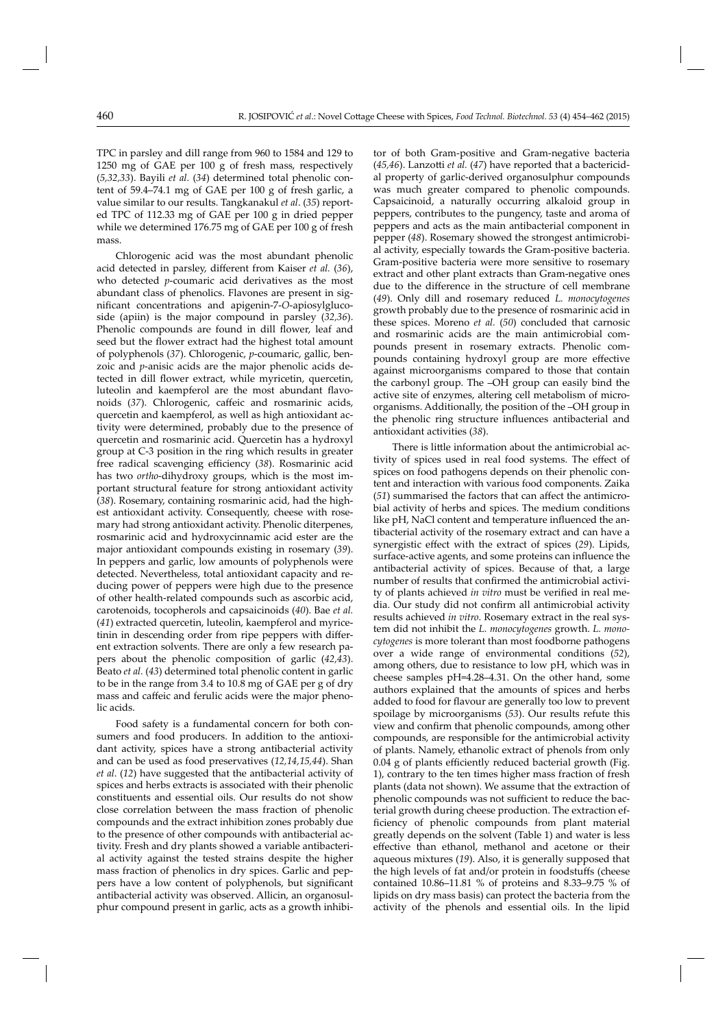TPC in parsley and dill range from 960 to 1584 and 129 to 1250 mg of GAE per 100 g of fresh mass, respectively (*5,32,33*). Bayili *et al.* (*34*) determined total phenolic content of 59.4–74.1 mg of GAE per 100 g of fresh garlic, a value similar to our results. Tangkanakul *et al*. (*35*) reported TPC of 112.33 mg of GAE per 100 g in dried pepper while we determined 176.75 mg of GAE per 100 g of fresh mass.

Chlorogenic acid was the most abundant phenolic acid detected in parsley, different from Kaiser et al. (36), who detected *p*-coumaric acid derivatives as the most abundant class of phenolics. Flavones are present in significant concentrations and apigenin-7-O-apiosylglucoside (apiin) is the major compound in parsley (*32,36*). Phenolic compounds are found in dill flower, leaf and seed but the flower extract had the highest total amount of polyphenols (*37*). Chlorogenic, *p*-coumaric, gallic, benzoic and *p*-anisic acids are the major phenolic acids detected in dill flower extract, while myricetin, quercetin, luteolin and kaempferol are the most abundant flavonoids (37). Chlorogenic, caffeic and rosmarinic acids, quercetin and kaempferol, as well as high antioxidant activity were determined, probably due to the presence of quercetin and rosmarinic acid. Quercetin has a hydroxyl group at C-3 position in the ring which results in greater free radical scavenging efficiency (38). Rosmarinic acid has two *ortho*-dihydroxy groups, which is the most important structural feature for strong antioxidant activity (*38*). Rosemary, containing rosmarinic acid, had the highest antioxidant activity. Consequently, cheese with rosemary had strong antioxidant activity. Phenolic diterpenes, rosmarinic acid and hydroxycinnamic acid ester are the major antioxidant compounds existing in rosemary (*39*). In peppers and garlic, low amounts of polyphenols were detected. Nevertheless, total antioxidant capacity and reducing power of peppers were high due to the presence of other health-related compounds such as ascorbic acid, carotenoids, tocopherols and capsaicinoids (*40*). Bae *et al.* (*41*) extracted quercetin, luteolin, kaempferol and myricetinin in descending order from ripe peppers with different extraction solvents. There are only a few research papers about the phenolic composition of garlic (*42,43*). Beato *et al.* (*43*) determined total phenolic content in garlic to be in the range from 3.4 to 10.8 mg of GAE per g of dry mass and caffeic and ferulic acids were the major phenolic acids.

Food safety is a fundamental concern for both consumers and food producers. In addition to the antioxidant activity, spices have a strong antibacterial activity and can be used as food preservatives (*12,14,15,44*). Shan *et al*. (*12*) have suggested that the antibacterial activity of spices and herbs extracts is associated with their phenolic constituents and essential oils. Our results do not show close correlation between the mass fraction of phenolic compounds and the extract inhibition zones probably due to the presence of other compounds with antibacterial activity. Fresh and dry plants showed a variable antibacterial activity against the tested strains despite the higher mass fraction of phenolics in dry spices. Garlic and peppers have a low content of polyphenols, but significant antibacterial activity was observed. Allicin, an organosulphur compound present in garlic, acts as a growth inhibitor of both Gram-positive and Gram-negative bacteria (45,46). Lanzotti *et al.* (47) have reported that a bactericidal property of garlic-derived organosulphur compounds was much greater compared to phenolic compounds. Capsaicinoid, a naturally occurring alkaloid group in peppers, contributes to the pungency, taste and aroma of peppers and acts as the main antibacterial component in pepper (*48*). Rosemary showed the strongest antimicrobial activity, especially towards the Gram-positive bacteria. Gram-positive bacteria were more sensitive to rosemary extract and other plant extracts than Gram-negative ones due to the difference in the structure of cell membrane (*49*). Only dill and rosemary reduced *L. monocytogenes* growth probably due to the presence of rosmarinic acid in these spices. Moreno *et al.* (*50*) concluded that carnosic and rosmarinic acids are the main antimicrobial compounds present in rosemary extracts. Phenolic compounds containing hydroxyl group are more effective against microorganisms compared to those that contain the carbonyl group. The –OH group can easily bind the active site of enzymes, altering cell metabolism of microorganisms. Additionally, the position of the –OH group in the phenolic ring structure influences antibacterial and antioxidant activities (*38*).

There is little information about the antimicrobial activity of spices used in real food systems. The effect of spices on food pathogens depends on their phenolic content and interaction with various food components. Zaika (51) summarised the factors that can affect the antimicrobial activity of herbs and spices. The medium conditions like pH, NaCl content and temperature influenced the antibacterial activity of the rosemary extract and can have a synergistic effect with the extract of spices (29). Lipids, surface-active agents, and some proteins can influence the antibacterial activity of spices. Because of that, a large number of results that confirmed the antimicrobial activity of plants achieved *in vitro* must be verified in real media. Our study did not confirm all antimicrobial activity results achieved *in vitro*. Rosemary extract in the real system did not inhibit the *L. monocytogenes* growth. *L. monocytogenes* is more tolerant than most foodborne pathogens over a wide range of environmental conditions (*52*), among others, due to resistance to low pH, which was in cheese samples pH=4.28–4.31. On the other hand, some authors explained that the amounts of spices and herbs added to food for flavour are generally too low to prevent spoilage by microorganisms (*53*). Our results refute this view and confirm that phenolic compounds, among other compounds, are responsible for the antimicrobial activity of plants. Namely, ethanolic extract of phenols from only 0.04 g of plants efficiently reduced bacterial growth (Fig. 1), contrary to the ten times higher mass fraction of fresh plants (data not shown). We assume that the extraction of phenolic compounds was not sufficient to reduce the bacterial growth during cheese production. The extraction efficiency of phenolic compounds from plant material greatly depends on the solvent (Table 1) and water is less effective than ethanol, methanol and acetone or their aqueous mixtures (*19*). Also, it is generally supposed that the high levels of fat and/or protein in foodstuffs (cheese contained 10.86–11.81 % of proteins and 8.33–9.75 % of lipids on dry mass basis) can protect the bacteria from the activity of the phenols and essential oils. In the lipid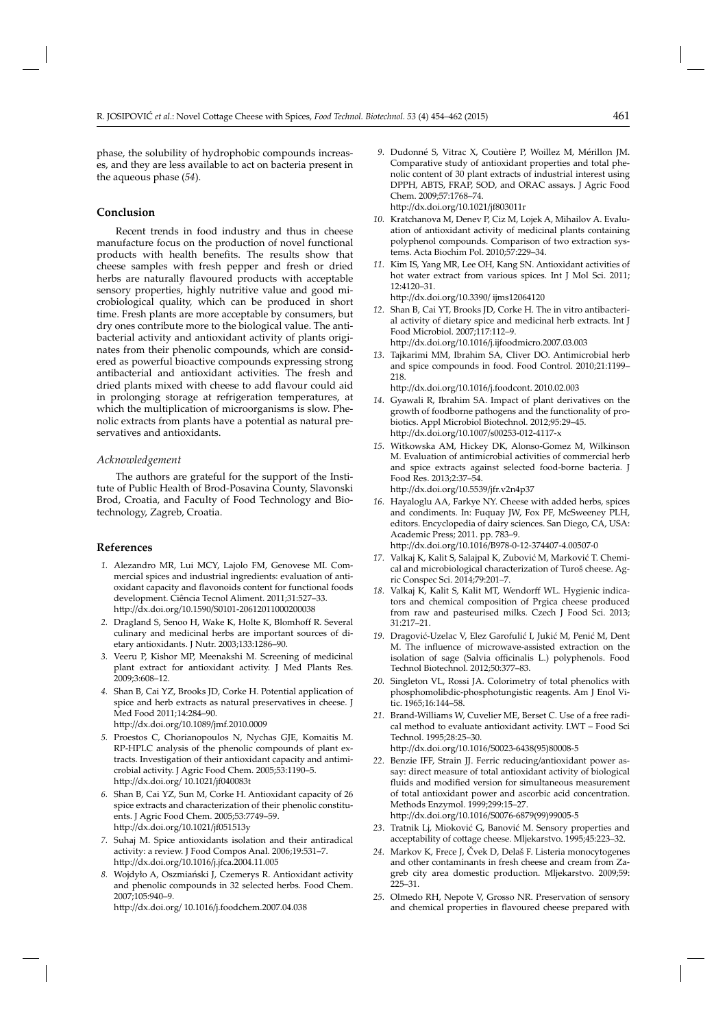phase, the solubility of hydrophobic compounds increases, and they are less available to act on bacteria present in the aqueous phase (*54*).

## **Conclusion**

Recent trends in food industry and thus in cheese manufacture focus on the production of novel functional products with health benefits. The results show that cheese samples with fresh pepper and fresh or dried herbs are naturally flavoured products with acceptable sensory properties, highly nutritive value and good microbiological quality, which can be produced in short time. Fresh plants are more acceptable by consumers, but dry ones contribute more to the biological value. The antibacterial activity and antioxidant activity of plants originates from their phenolic compounds, which are considered as powerful bioactive compounds expressing strong antibacterial and antioxidant activities. The fresh and dried plants mixed with cheese to add flavour could aid in prolonging storage at refrigeration temperatures, at which the multiplication of microorganisms is slow. Phenolic extracts from plants have a potential as natural preservatives and antioxidants.

#### *Acknowledgement*

The authors are grateful for the support of the Institute of Public Health of Brod-Posavina County, Slavonski Brod, Croatia, and Faculty of Food Technology and Biotechnology, Zagreb, Croatia.

## **References**

- *1.* Alezandro MR, Lui MCY, Lajolo FM, Genovese MI. Commercial spices and industrial ingredients: evaluation of antioxidant capacity and flavonoids content for functional foods development. Ciência Tecnol Aliment. 2011;31:527–33. http://dx.doi.org/10.1590/S0101-20612011000200038
- *2.* Dragland S, Senoo H, Wake K, Holte K, Blomhoff R. Several culinary and medicinal herbs are important sources of dietary antioxidants. J Nutr. 2003;133:1286–90.
- *3.* Veeru P, Kishor MP, Meenakshi M. Screening of medicinal plant extract for antioxidant activity. J Med Plants Res. 2009;3:608–12.
- *4.* Shan B, Cai YZ, Brooks JD, Corke H. Potential application of spice and herb extracts as natural preservatives in cheese. J Med Food 2011;14:284–90. http://dx.doi.org/10.1089/jmf.2010.0009
- *5.* Proestos C, Chorianopoulos N, Nychas GJE, Komaitis M. RP-HPLC analysis of the phenolic compounds of plant extracts. Investigation of their antioxidant capacity and antimicrobial activity. J Agric Food Chem. 2005;53:1190–5. http://dx.doi.org/ 10.1021/jf040083t
- *6.* Shan B, Cai YZ, Sun M, Corke H. Antioxidant capacity of 26 spice extracts and characterization of their phenolic constituents. J Agric Food Chem. 2005;53:7749–59. http://dx.doi.org/10.1021/jf051513y
- *7.* Suhaj M. Spice antioxidants isolation and their antiradical activity: a review. J Food Compos Anal. 2006;19:531–7. http://dx.doi.org/10.1016/j.jfca.2004.11.005
- *8.* Wojdyło A, Oszmiański J, Czemerys R. Antioxidant activity and phenolic compounds in 32 selected herbs. Food Chem. 2007;105:940–9.

http://dx.doi.org/ 10.1016/j.foodchem.2007.04.038

- *9.* Dudonné S, Vitrac X, Coutière P, Woillez M, Mérillon JM. Comparative study of antioxidant properties and total phenolic content of 30 plant extracts of industrial interest using DPPH, ABTS, FRAP, SOD, and ORAC assays. J Agric Food Chem. 2009;57:1768–74. http://dx.doi.org/10.1021/jf803011r
- *10.* Kratchanova M, Denev P, Ciz M, Lojek A, Mihailov A. Evaluation of antioxidant activity of medicinal plants containing polyphenol compounds. Comparison of two extraction systems. Acta Biochim Pol. 2010;57:229–34.
- *11.* Kim IS, Yang MR, Lee OH, Kang SN. Antioxidant activities of hot water extract from various spices. Int J Mol Sci. 2011; 12:4120–31. http://dx.doi.org/10.3390/ ijms12064120
- *12.* Shan B, Cai YT, Brooks JD, Corke H. The in vitro antibacterial activity of dietary spice and medicinal herb extracts. Int J Food Microbiol. 2007;117:112–9.

http://dx.doi.org/10.1016/j.ijfoodmicro.2007.03.003

*13.* Tajkarimi MM, Ibrahim SA, Cliver DO. Antimicrobial herb and spice compounds in food. Food Control. 2010;21:1199– 218.

http://dx.doi.org/10.1016/j.foodcont. 2010.02.003

- *14.* Gyawali R, Ibrahim SA. Impact of plant derivatives on the growth of foodborne pathogens and the functionality of probiotics. Appl Microbiol Biotechnol. 2012;95:29–45. http://dx.doi.org/10.1007/s00253-012-4117-x
- *15.* Witkowska AM, Hickey DK, Alonso-Gomez M, Wilkinson M. Evaluation of antimicrobial activities of commercial herb and spice extracts against selected food-borne bacteria. J Food Res. 2013;2:37–54. http://dx.doi.org/10.5539/jfr.v2n4p37
- *16.* Hayaloglu AA, Farkye NY. Cheese with added herbs, spices and condiments. In: Fuquay JW, Fox PF, McSweeney PLH, editors. Encyclopedia of dairy sciences. San Diego, CA, USA: Academic Press; 2011. pp. 783–9. http://dx.doi.org/10.1016/B978-0-12-374407-4.00507-0
- *17.* Valkaj K, Kalit S, Salajpal K, Zubović M, Marković T. Chemical and microbiological characterization of Turoš cheese. Agric Conspec Sci. 2014;79:201–7.
- *18.* Valkaj K, Kalit S, Kalit MT, Wendorff WL. Hygienic indicators and chemical composition of Prgica cheese produced from raw and pasteurised milks. Czech J Food Sci. 2013; 31:217–21.
- *19.* Dragović-Uzelac V, Elez Garofulić I, Jukić M, Penić M, Dent M. The influence of microwave-assisted extraction on the isolation of sage (Salvia officinalis L.) polyphenols. Food Technol Biotechnol. 2012;50:377–83.
- *20.* Singleton VL, Rossi JA. Colorimetry of total phenolics with phosphomolibdic-phosphotungistic reagents. Am J Enol Vitic. 1965;16:144–58.
- *21.* Brand-Williams W, Cuvelier ME, Berset C. Use of a free radical method to evaluate antioxidant activity. LWT – Food Sci Technol. 1995;28:25–30. http://dx.doi.org/10.1016/S0023-6438(95)80008-5
- *22.* Benzie IFF, Strain JJ. Ferric reducing/antioxidant power assay: direct measure of total antioxidant activity of biological fluids and modified version for simultaneous measurement of total antioxidant power and ascorbic acid concentration. Methods Enzymol. 1999;299:15–27. http://dx.doi.org/10.1016/S0076-6879(99)99005-5
- *23*. Tratnik Lj, Mioković G, Banović M. Sensory properties and acceptability of cottage cheese. Mljekarstvo. 1995;45:223-32.
- *24.* Markov K, Frece J, Čvek D, Delaš F. Listeria monocytogenes and other contaminants in fresh cheese and cream from Zagreb city area domestic production. Mljekarstvo. 2009;59: 225–31.
- *25.* Olmedo RH, Nepote V, Grosso NR. Preservation of sensory and chemical properties in flavoured cheese prepared with